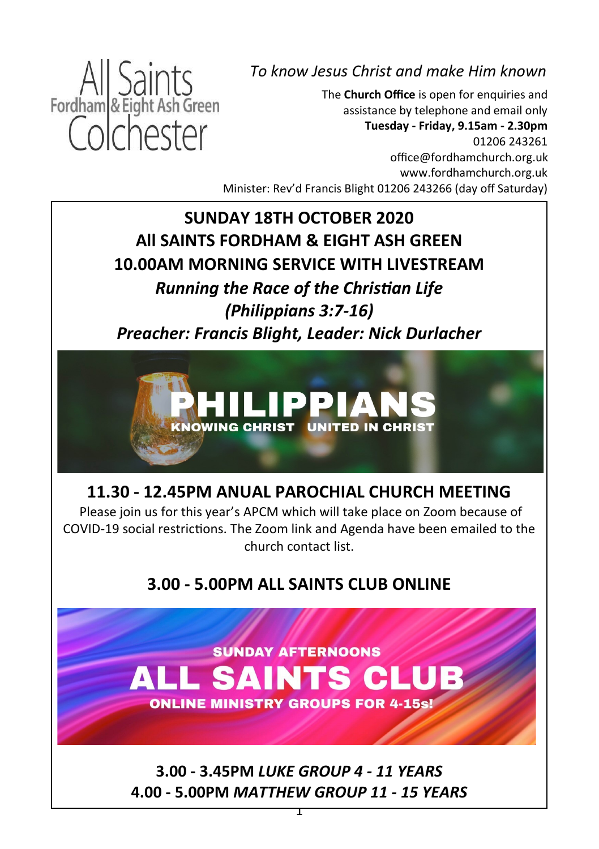

*To know Jesus Christ and make Him known*

The **Church Office** is open for enquiries and assistance by telephone and email only **Tuesday - Friday, 9.15am - 2.30pm** 01206 243261 office@fordhamchurch.org.uk [www.fordhamchurch.org.uk](http://www.fordhamchurch.org.uk) Minister: Rev'd Francis Blight 01206 243266 (day off Saturday)

**SUNDAY 18TH OCTOBER 2020 All SAINTS FORDHAM & EIGHT ASH GREEN 10.00AM MORNING SERVICE WITH LIVESTREAM**  *Running the Race of the Christian Life (Philippians 3:7-16) Preacher: Francis Blight, Leader: Nick Durlacher*



**11.30 - 12.45PM ANUAL PAROCHIAL CHURCH MEETING**

Please join us for this year's APCM which will take place on Zoom because of COVID-19 social restrictions. The Zoom link and Agenda have been emailed to the church contact list.

**3.00 - 5.00PM ALL SAINTS CLUB ONLINE**



**3.00 - 3.45PM** *LUKE GROUP 4 - 11 YEARS* **4.00 - 5.00PM** *MATTHEW GROUP 11 - 15 YEARS*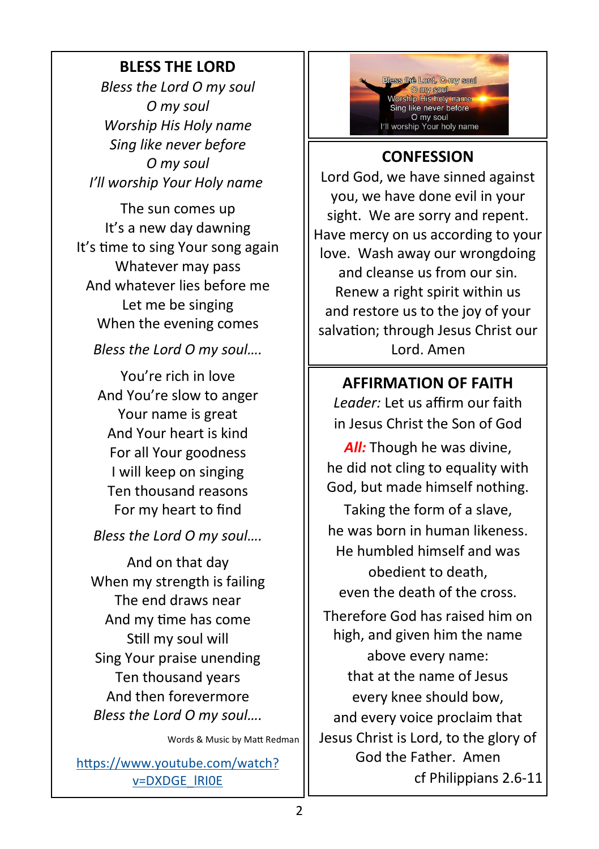#### **BLESS THE LORD**

*Bless the Lord O my soul O my soul Worship His Holy name Sing like never before O my soul I'll worship Your Holy name*

The sun comes up It's a new day dawning It's time to sing Your song again Whatever may pass And whatever lies before me Let me be singing When the evening comes

*Bless the Lord O my soul….*

You're rich in love And You're slow to anger Your name is great And Your heart is kind For all Your goodness I will keep on singing Ten thousand reasons For my heart to find

*Bless the Lord O my soul….*

And on that day When my strength is failing The end draws near And my time has come Still my soul will Sing Your praise unending Ten thousand years And then forevermore *Bless the Lord O my soul….*

Words & Music by Matt Redman

[https://www.youtube.com/watch?](https://www.youtube.com/watch?v=DXDGE_lRI0E) [v=DXDGE\\_lRI0E](https://www.youtube.com/watch?v=DXDGE_lRI0E)



#### **CONFESSION**

Lord God, we have sinned against you, we have done evil in your sight. We are sorry and repent. Have mercy on us according to your love. Wash away our wrongdoing and cleanse us from our sin. Renew a right spirit within us and restore us to the joy of your salvation; through Jesus Christ our Lord. Amen

#### **AFFIRMATION OF FAITH**

*Leader:* Let us affirm our faith in Jesus Christ the Son of God

*All:* Though he was divine, he did not cling to equality with God, but made himself nothing.

Taking the form of a slave, he was born in human likeness. He humbled himself and was obedient to death, even the death of the cross.

Therefore God has raised him on high, and given him the name above every name: that at the name of Jesus every knee should bow, and every voice proclaim that Jesus Christ is Lord, to the glory of God the Father. Amen cf Philippians 2.6-11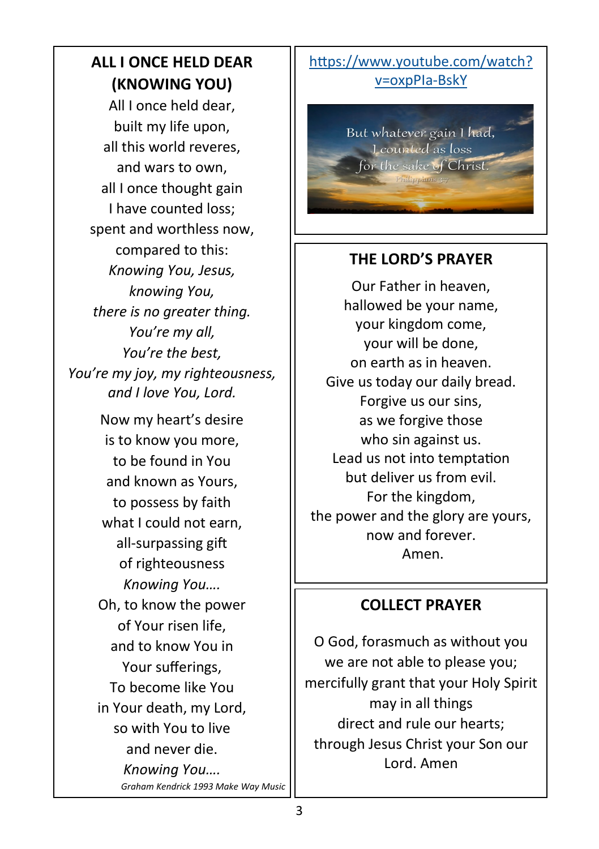## **ALL I ONCE HELD DEAR (KNOWING YOU)**

All I once held dear, built my life upon, all this world reveres, and wars to own, all I once thought gain I have counted loss; spent and worthless now, compared to this: *Knowing You, Jesus, knowing You, there is no greater thing. You're my all, You're the best, You're my joy, my righteousness, and I love You, Lord.*

> Now my heart's desire is to know you more, to be found in You and known as Yours, to possess by faith what I could not earn, all-surpassing gift of righteousness *Knowing You….* Oh, to know the power of Your risen life, and to know You in Your sufferings, To become like You in Your death, my Lord, so with You to live and never die. *Knowing You…. Graham Kendrick 1993 Make Way Music*

#### [https://www.youtube.com/watch?](https://www.youtube.com/watch?v=oxpPIa-BskY) [v=oxpPIa](https://www.youtube.com/watch?v=oxpPIa-BskY)-BskY

But whatever gain I had, Leounted as loss for the sake of Christ.

#### **THE LORD'S PRAYER**

Our Father in heaven, hallowed be your name, your kingdom come, your will be done, on earth as in heaven. Give us today our daily bread. Forgive us our sins, as we forgive those who sin against us. Lead us not into temptation but deliver us from evil. For the kingdom, the power and the glory are yours, now and forever. Amen.

### **COLLECT PRAYER**

O God, forasmuch as without you we are not able to please you; mercifully grant that your Holy Spirit may in all things direct and rule our hearts; through Jesus Christ your Son our Lord. Amen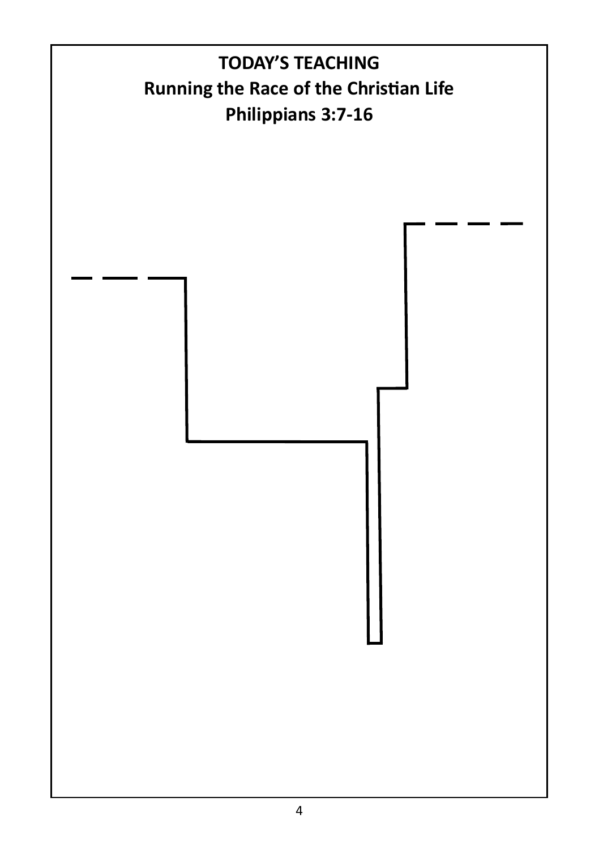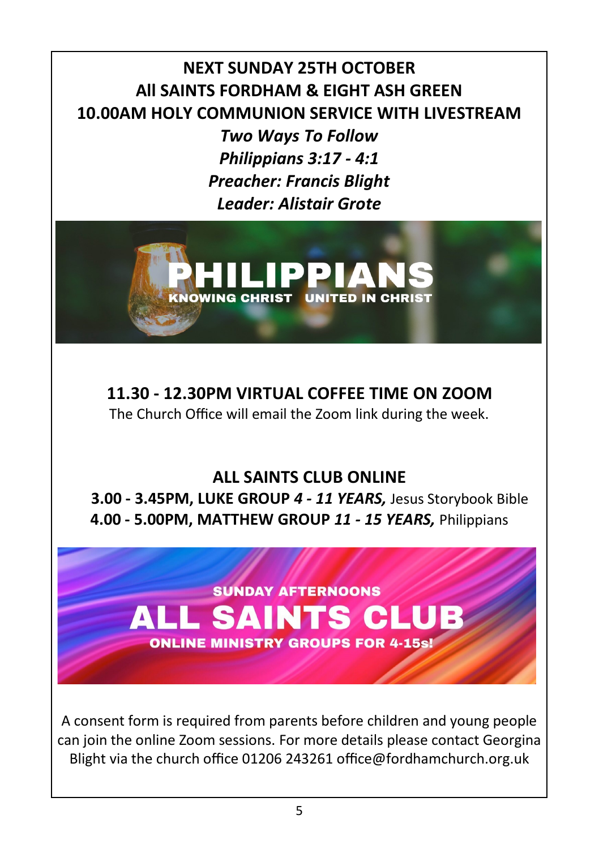**NEXT SUNDAY 25TH OCTOBER All SAINTS FORDHAM & EIGHT ASH GREEN 10.00AM HOLY COMMUNION SERVICE WITH LIVESTREAM** 

> *Two Ways To Follow Philippians 3:17 - 4:1 Preacher: Francis Blight Leader: Alistair Grote*



**11.30 - 12.30PM VIRTUAL COFFEE TIME ON ZOOM**  The Church Office will email the Zoom link during the week.

### **ALL SAINTS CLUB ONLINE**

**3.00 - 3.45PM, LUKE GROUP** *4 - 11 YEARS,* Jesus Storybook Bible **4.00 - 5.00PM, MATTHEW GROUP** *11 - 15 YEARS,* Philippians

**SUNDAY AFTERNOONS ALL SAINTS CLUB ONLINE MINISTRY GROUPS FOR 4-15s!** 

A consent form is required from parents before children and young people can join the online Zoom sessions. For more details please contact Georgina Blight via the church office 01206 243261 office@fordhamchurch.org.uk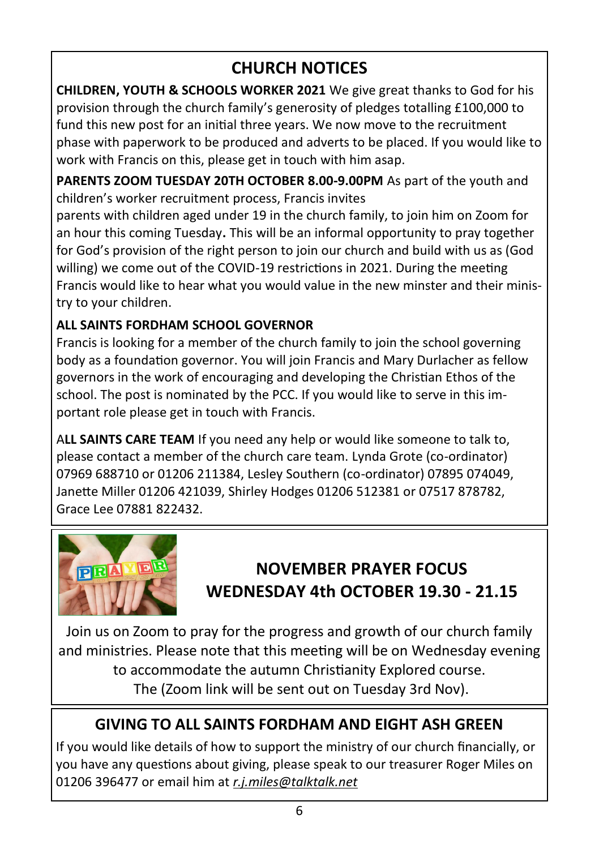## **CHURCH NOTICES**

**CHILDREN, YOUTH & SCHOOLS WORKER 2021** We give great thanks to God for his provision through the church family's generosity of pledges totalling £100,000 to fund this new post for an initial three years. We now move to the recruitment phase with paperwork to be produced and adverts to be placed. If you would like to work with Francis on this, please get in touch with him asap.

**PARENTS ZOOM TUESDAY 20TH OCTOBER 8.00-9.00PM** As part of the youth and children's worker recruitment process, Francis invites

parents with children aged under 19 in the church family, to join him on Zoom for an hour this coming Tuesday**.** This will be an informal opportunity to pray together for God's provision of the right person to join our church and build with us as (God willing) we come out of the COVID-19 restrictions in 2021. During the meeting Francis would like to hear what you would value in the new minster and their ministry to your children.

#### **ALL SAINTS FORDHAM SCHOOL GOVERNOR**

Francis is looking for a member of the church family to join the school governing body as a foundation governor. You will join Francis and Mary Durlacher as fellow governors in the work of encouraging and developing the Christian Ethos of the school. The post is nominated by the PCC. If you would like to serve in this important role please get in touch with Francis.

A**LL SAINTS CARE TEAM** If you need any help or would like someone to talk to, please contact a member of the church care team. Lynda Grote (co-ordinator) 07969 688710 or 01206 211384, Lesley Southern (co-ordinator) 07895 074049, Janette Miller 01206 421039, Shirley Hodges 01206 512381 or 07517 878782, Grace Lee 07881 822432.



# **NOVEMBER PRAYER FOCUS WEDNESDAY 4th OCTOBER 19.30 - 21.15**

Join us on Zoom to pray for the progress and growth of our church family and ministries. Please note that this meeting will be on Wednesday evening to accommodate the autumn Christianity Explored course. The (Zoom link will be sent out on Tuesday 3rd Nov).

## **GIVING TO ALL SAINTS FORDHAM AND EIGHT ASH GREEN**

If you would like details of how to support the ministry of our church financially, or you have any questions about giving, please speak to our treasurer Roger Miles on 01206 396477 or email him at *[r.j.miles@talktalk.net](mailto:r.j.miles@talktalk.net)*